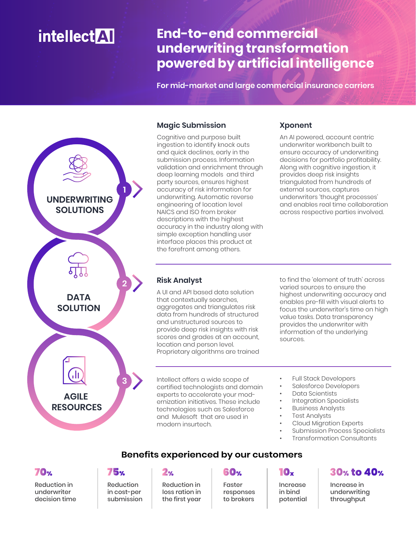# **intellect** AT

## **End-to-end commercial underwriting transformation powered by artificial intelligence**

**For mid-market and large commercial insurance carriers**



#### **Magic Submission**

Cognitive and purpose built ingestion to identify knock outs and quick declines, early in the submission process. Information validation and enrichment through deep learning models and third party sources, ensures highest accuracy of risk information for underwriting. Automatic reverse engineering of location level NAICS and ISO from broker descriptions with the highest accuracy in the industry along with simple exception handling user interface places this product at the forefront among others.

#### **Xponent**

An AI powered, account centric underwriter workbench built to ensure accuracy of underwriting decisions for portfolio profitability. Along with cognitive ingestion, it provides deep risk insights triangulated from hundreds of external sources, captures underwriters 'thought processes' and enables real time collaboration across respective parties involved.

### **Risk Analyst**

A UI and API based data solution that contextually searches, aggregates and triangulates risk data from hundreds of structured and unstructured sources to provide deep risk insights with risk scores and grades at an account, location and person level. Proprietary algorithms are trained

to find the 'element of truth' across varied sources to ensure the highest underwriting accuracy and enables pre-fill with visual alerts to focus the underwriter's time on high value tasks. Data transparency provides the underwriter with information of the underlying sources.

Intellect offers a wide scope of certified technologists and domain experts to accelerate your modernization initiatives. These include technologies such as Salesforce and Mulesoft that are used in modern insurtech.

**Benefits experienced by our customers**

• Full Stack Developers

- Salesforce Developers
- Data Scientists
- Integration Specialists
- Business Analysts
- **Test Analysts**
- Cloud Migration Experts
- Submission Process Specialists
- Transformation Consultants

### **70%**

Reduction in underwriter decision time

## **75%**

Reduction in cost-per submission

### $2%$

Reduction in loss ration in the first year

## 60x

Faster responses to brokers

## 10<sub>x</sub>

Increase in bind potential

## **30% to 40%**

Increase in underwriting throughput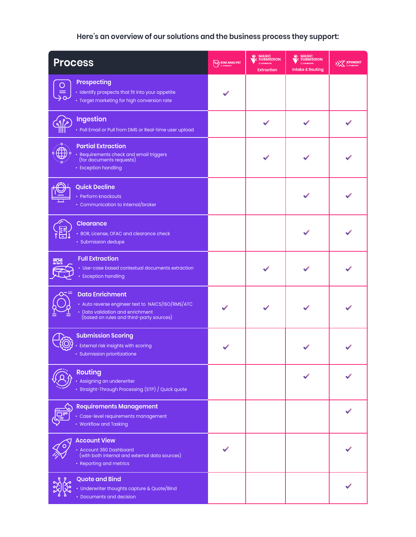## **Here's an overview of our solutions and the business process they support:**

| <b>Process</b>                                                                                                                                              | <b>RISK ANALYST</b> | <b>MAGIC<br/>SUBMISSION</b><br><b>Extraction</b> | <b>MAGIC<br/>SUBMISSION</b><br><b>Intake &amp; Routing</b> | >> XPONENT |
|-------------------------------------------------------------------------------------------------------------------------------------------------------------|---------------------|--------------------------------------------------|------------------------------------------------------------|------------|
| <b>Prospecting</b><br>· Identify prospects that fit into your appetite<br>· Target marketing for high conversion rate                                       |                     |                                                  |                                                            |            |
| <b>Ingestion</b><br>• Poll Email or Pull from DMS or Real-time user upload                                                                                  |                     |                                                  |                                                            |            |
| <b>Partial Extraction</b><br>• Requirements check and email triggers<br>(for documents requests)<br>• Exception handling                                    |                     |                                                  |                                                            |            |
| <b>Quick Decline</b><br>• Perform knockouts<br>• Communication to internal/broker                                                                           |                     |                                                  |                                                            |            |
| <b>Clearance</b><br>• BOR, License, OFAC and clearance check<br>· Submission dedupe                                                                         |                     |                                                  |                                                            |            |
| <b>Full Extraction</b><br>• Use-case based contextual documents extraction<br>• Exception handling                                                          |                     |                                                  |                                                            |            |
| <b>Data Enrichment</b><br>• Auto reverse engineer text to NAICS/ISO/RMS/ATC<br>· Data validation and enrichment<br>(based on rules and third-party sources) |                     |                                                  |                                                            |            |
| <b>Submission Scoring</b><br>External risk insights with scoring<br>Submission prioritizatione                                                              |                     |                                                  |                                                            |            |
| <b>Routing</b><br>Assigning an underwriter<br>Straight-Through Processing (STP) / Quick quote                                                               |                     |                                                  |                                                            |            |
| <b>Requirements Management</b><br>· Case-level requirements management<br>• Workflow and Tasking                                                            |                     |                                                  |                                                            |            |
| <b>Account View</b><br>• Account 360 Dashboard<br>(with both internal and external data sources)<br>• Reporting and metrics                                 |                     |                                                  |                                                            |            |
| <b>Quote and Bind</b><br>• Underwriter thoughts capture & Quote/Bind<br>• Documents and decision                                                            |                     |                                                  |                                                            |            |